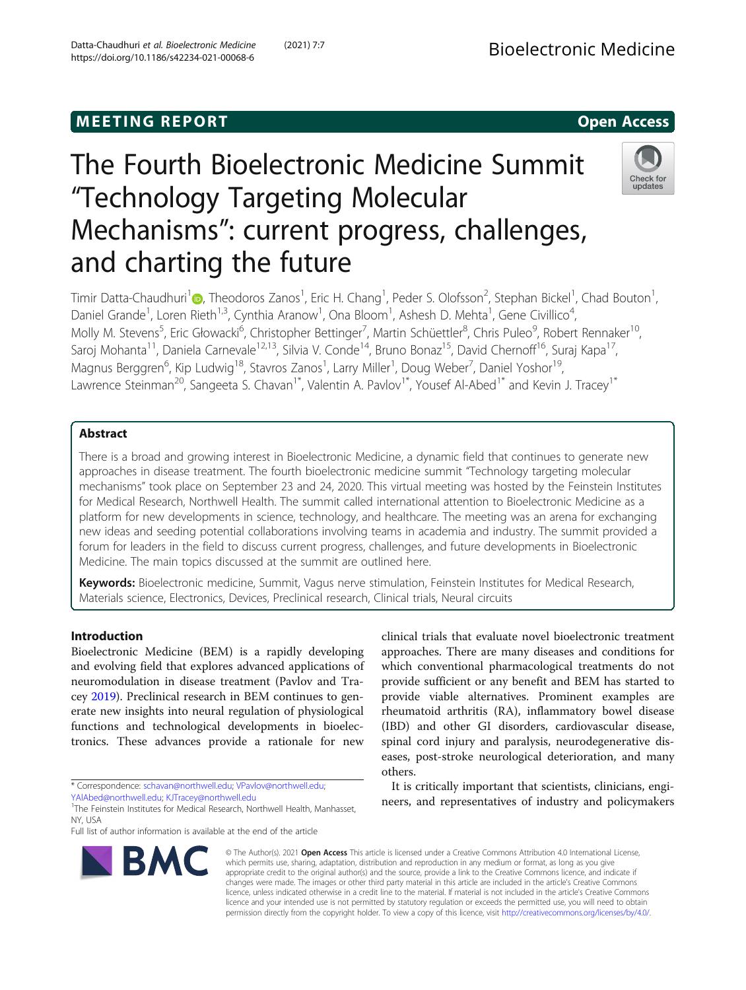https://doi.org/10.1186/s42234-021-00068-6

# Datta-Chaudhuri et al. Bioelectronic Medicine (2021) 7:7 Bioelectronic Medicine

# The Fourth Bioelectronic Medicine Summit "Technology Targeting Molecular Mechanisms": current progress, challenges, and charting the future



Timir Datta-Chaudhuri<sup>[1](http://orcid.org/0000-0001-7377-1939)</sup>@, Theodoros Zanos<sup>1</sup>, Eric H. Chang<sup>1</sup>, Peder S. Olofsson<sup>2</sup>, Stephan Bickel<sup>1</sup>, Chad Bouton<sup>1</sup> , Daniel Grande<sup>1</sup>, Loren Rieth<sup>1,3</sup>, Cynthia Aranow<sup>1</sup>, Ona Bloom<sup>1</sup>, Ashesh D. Mehta<sup>1</sup>, Gene Civillico<sup>4</sup> , Molly M. Stevens<sup>5</sup>, Eric Głowacki<sup>6</sup>, Christopher Bettinger<sup>7</sup>, Martin Schüettler<sup>8</sup>, Chris Puleo<sup>9</sup>, Robert Rennaker<sup>10</sup>, Saroj Mohanta<sup>11</sup>, Daniela Carnevale<sup>12,13</sup>, Silvia V. Conde<sup>14</sup>, Bruno Bonaz<sup>15</sup>, David Chernoff<sup>16</sup>, Suraj Kapa<sup>17</sup>, Magnus Berggren<sup>6</sup>, Kip Ludwig<sup>18</sup>, Stavros Zanos<sup>1</sup>, Larry Miller<sup>1</sup>, Doug Weber<sup>7</sup>, Daniel Yoshor<sup>19</sup>, Lawrence Steinman<sup>20</sup>, Sangeeta S. Chavan<sup>1\*</sup>, Valentin A. Pavlov<sup>1\*</sup>, Yousef Al-Abed<sup>1\*</sup> and Kevin J. Tracey<sup>1\*</sup>

# Abstract

There is a broad and growing interest in Bioelectronic Medicine, a dynamic field that continues to generate new approaches in disease treatment. The fourth bioelectronic medicine summit "Technology targeting molecular mechanisms" took place on September 23 and 24, 2020. This virtual meeting was hosted by the Feinstein Institutes for Medical Research, Northwell Health. The summit called international attention to Bioelectronic Medicine as a platform for new developments in science, technology, and healthcare. The meeting was an arena for exchanging new ideas and seeding potential collaborations involving teams in academia and industry. The summit provided a forum for leaders in the field to discuss current progress, challenges, and future developments in Bioelectronic Medicine. The main topics discussed at the summit are outlined here.

Keywords: Bioelectronic medicine, Summit, Vagus nerve stimulation, Feinstein Institutes for Medical Research, Materials science, Electronics, Devices, Preclinical research, Clinical trials, Neural circuits

# Introduction

Bioelectronic Medicine (BEM) is a rapidly developing and evolving field that explores advanced applications of neuromodulation in disease treatment (Pavlov and Tracey [2019\)](#page-8-0). Preclinical research in BEM continues to generate new insights into neural regulation of physiological functions and technological developments in bioelectronics. These advances provide a rationale for new

\* Correspondence: [schavan@northwell.edu](mailto:schavan@northwell.edu); [VPavlov@northwell.edu;](mailto:VPavlov@northwell.edu)

Full list of author information is available at the end of the article



clinical trials that evaluate novel bioelectronic treatment approaches. There are many diseases and conditions for which conventional pharmacological treatments do not provide sufficient or any benefit and BEM has started to provide viable alternatives. Prominent examples are rheumatoid arthritis (RA), inflammatory bowel disease (IBD) and other GI disorders, cardiovascular disease, spinal cord injury and paralysis, neurodegenerative diseases, post-stroke neurological deterioration, and many others.

It is critically important that scientists, clinicians, engineers, and representatives of industry and policymakers

© The Author(s). 2021 Open Access This article is licensed under a Creative Commons Attribution 4.0 International License, which permits use, sharing, adaptation, distribution and reproduction in any medium or format, as long as you give appropriate credit to the original author(s) and the source, provide a link to the Creative Commons licence, and indicate if changes were made. The images or other third party material in this article are included in the article's Creative Commons licence, unless indicated otherwise in a credit line to the material. If material is not included in the article's Creative Commons licence and your intended use is not permitted by statutory regulation or exceeds the permitted use, you will need to obtain permission directly from the copyright holder. To view a copy of this licence, visit [http://creativecommons.org/licenses/by/4.0/.](http://creativecommons.org/licenses/by/4.0/)

[YAlAbed@northwell.edu](mailto:YAlAbed@northwell.edu); [KJTracey@northwell.edu](mailto:KJTracey@northwell.edu) <sup>1</sup>

<sup>&</sup>lt;sup>1</sup>The Feinstein Institutes for Medical Research, Northwell Health, Manhasset, NY, USA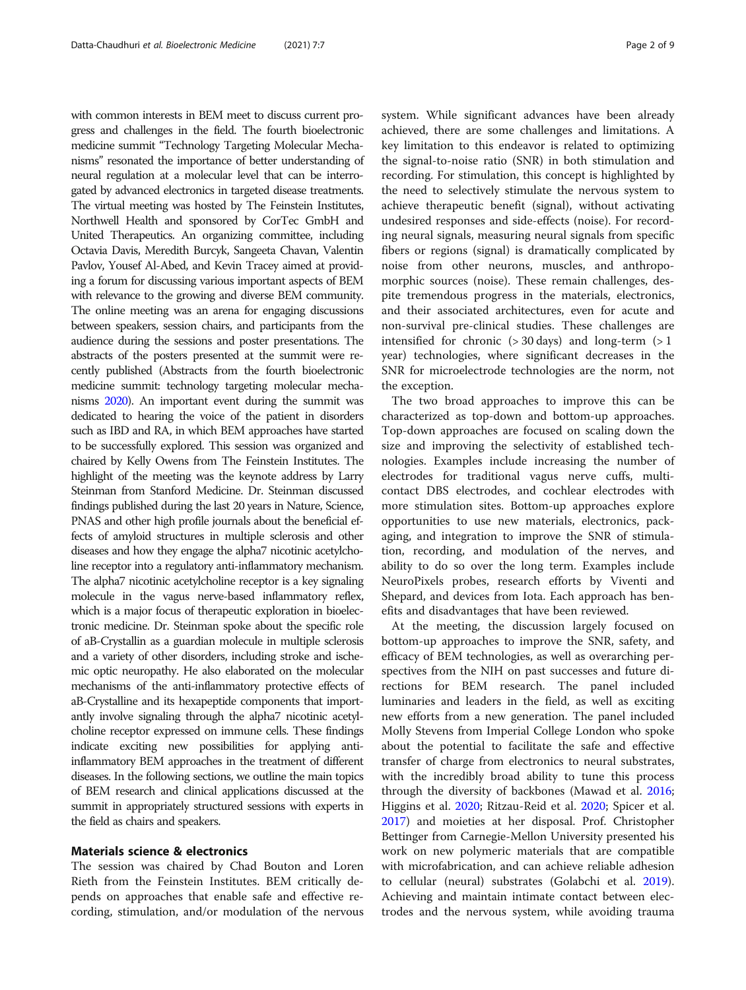with common interests in BEM meet to discuss current progress and challenges in the field. The fourth bioelectronic medicine summit "Technology Targeting Molecular Mechanisms" resonated the importance of better understanding of neural regulation at a molecular level that can be interrogated by advanced electronics in targeted disease treatments. The virtual meeting was hosted by The Feinstein Institutes, Northwell Health and sponsored by CorTec GmbH and United Therapeutics. An organizing committee, including Octavia Davis, Meredith Burcyk, Sangeeta Chavan, Valentin Pavlov, Yousef Al-Abed, and Kevin Tracey aimed at providing a forum for discussing various important aspects of BEM with relevance to the growing and diverse BEM community. The online meeting was an arena for engaging discussions between speakers, session chairs, and participants from the audience during the sessions and poster presentations. The abstracts of the posters presented at the summit were recently published (Abstracts from the fourth bioelectronic medicine summit: technology targeting molecular mechanisms [2020\)](#page-7-0). An important event during the summit was dedicated to hearing the voice of the patient in disorders such as IBD and RA, in which BEM approaches have started to be successfully explored. This session was organized and chaired by Kelly Owens from The Feinstein Institutes. The highlight of the meeting was the keynote address by Larry Steinman from Stanford Medicine. Dr. Steinman discussed findings published during the last 20 years in Nature, Science, PNAS and other high profile journals about the beneficial effects of amyloid structures in multiple sclerosis and other diseases and how they engage the alpha7 nicotinic acetylcholine receptor into a regulatory anti-inflammatory mechanism. The alpha7 nicotinic acetylcholine receptor is a key signaling molecule in the vagus nerve-based inflammatory reflex, which is a major focus of therapeutic exploration in bioelectronic medicine. Dr. Steinman spoke about the specific role of aB-Crystallin as a guardian molecule in multiple sclerosis and a variety of other disorders, including stroke and ischemic optic neuropathy. He also elaborated on the molecular mechanisms of the anti-inflammatory protective effects of aB-Crystalline and its hexapeptide components that importantly involve signaling through the alpha7 nicotinic acetylcholine receptor expressed on immune cells. These findings indicate exciting new possibilities for applying antiinflammatory BEM approaches in the treatment of different diseases. In the following sections, we outline the main topics of BEM research and clinical applications discussed at the summit in appropriately structured sessions with experts in the field as chairs and speakers.

## Materials science & electronics

The session was chaired by Chad Bouton and Loren Rieth from the Feinstein Institutes. BEM critically depends on approaches that enable safe and effective recording, stimulation, and/or modulation of the nervous

system. While significant advances have been already achieved, there are some challenges and limitations. A key limitation to this endeavor is related to optimizing the signal-to-noise ratio (SNR) in both stimulation and recording. For stimulation, this concept is highlighted by the need to selectively stimulate the nervous system to achieve therapeutic benefit (signal), without activating undesired responses and side-effects (noise). For recording neural signals, measuring neural signals from specific fibers or regions (signal) is dramatically complicated by noise from other neurons, muscles, and anthropomorphic sources (noise). These remain challenges, despite tremendous progress in the materials, electronics, and their associated architectures, even for acute and non-survival pre-clinical studies. These challenges are intensified for chronic  $(>30 \text{ days})$  and long-term  $(>1$ year) technologies, where significant decreases in the SNR for microelectrode technologies are the norm, not the exception.

The two broad approaches to improve this can be characterized as top-down and bottom-up approaches. Top-down approaches are focused on scaling down the size and improving the selectivity of established technologies. Examples include increasing the number of electrodes for traditional vagus nerve cuffs, multicontact DBS electrodes, and cochlear electrodes with more stimulation sites. Bottom-up approaches explore opportunities to use new materials, electronics, packaging, and integration to improve the SNR of stimulation, recording, and modulation of the nerves, and ability to do so over the long term. Examples include NeuroPixels probes, research efforts by Viventi and Shepard, and devices from Iota. Each approach has benefits and disadvantages that have been reviewed.

At the meeting, the discussion largely focused on bottom-up approaches to improve the SNR, safety, and efficacy of BEM technologies, as well as overarching perspectives from the NIH on past successes and future directions for BEM research. The panel included luminaries and leaders in the field, as well as exciting new efforts from a new generation. The panel included Molly Stevens from Imperial College London who spoke about the potential to facilitate the safe and effective transfer of charge from electronics to neural substrates, with the incredibly broad ability to tune this process through the diversity of backbones (Mawad et al. [2016](#page-8-0); Higgins et al. [2020](#page-8-0); Ritzau-Reid et al. [2020;](#page-8-0) Spicer et al. [2017](#page-8-0)) and moieties at her disposal. Prof. Christopher Bettinger from Carnegie-Mellon University presented his work on new polymeric materials that are compatible with microfabrication, and can achieve reliable adhesion to cellular (neural) substrates (Golabchi et al. [2019](#page-8-0)). Achieving and maintain intimate contact between electrodes and the nervous system, while avoiding trauma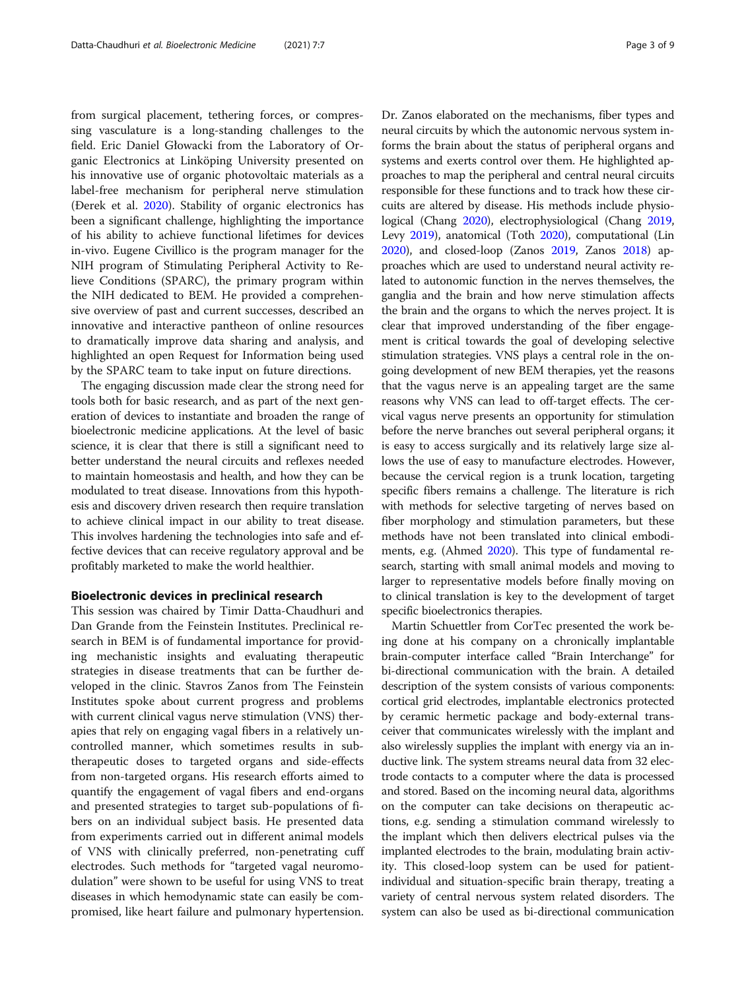from surgical placement, tethering forces, or compressing vasculature is a long-standing challenges to the field. Eric Daniel Głowacki from the Laboratory of Organic Electronics at Linköping University presented on his innovative use of organic photovoltaic materials as a label-free mechanism for peripheral nerve stimulation (Ðerek et al. [2020](#page-8-0)). Stability of organic electronics has been a significant challenge, highlighting the importance of his ability to achieve functional lifetimes for devices in-vivo. Eugene Civillico is the program manager for the NIH program of Stimulating Peripheral Activity to Relieve Conditions (SPARC), the primary program within the NIH dedicated to BEM. He provided a comprehensive overview of past and current successes, described an innovative and interactive pantheon of online resources to dramatically improve data sharing and analysis, and highlighted an open Request for Information being used by the SPARC team to take input on future directions.

The engaging discussion made clear the strong need for tools both for basic research, and as part of the next generation of devices to instantiate and broaden the range of bioelectronic medicine applications. At the level of basic science, it is clear that there is still a significant need to better understand the neural circuits and reflexes needed to maintain homeostasis and health, and how they can be modulated to treat disease. Innovations from this hypothesis and discovery driven research then require translation to achieve clinical impact in our ability to treat disease. This involves hardening the technologies into safe and effective devices that can receive regulatory approval and be profitably marketed to make the world healthier.

#### Bioelectronic devices in preclinical research

This session was chaired by Timir Datta-Chaudhuri and Dan Grande from the Feinstein Institutes. Preclinical research in BEM is of fundamental importance for providing mechanistic insights and evaluating therapeutic strategies in disease treatments that can be further developed in the clinic. Stavros Zanos from The Feinstein Institutes spoke about current progress and problems with current clinical vagus nerve stimulation (VNS) therapies that rely on engaging vagal fibers in a relatively uncontrolled manner, which sometimes results in subtherapeutic doses to targeted organs and side-effects from non-targeted organs. His research efforts aimed to quantify the engagement of vagal fibers and end-organs and presented strategies to target sub-populations of fibers on an individual subject basis. He presented data from experiments carried out in different animal models of VNS with clinically preferred, non-penetrating cuff electrodes. Such methods for "targeted vagal neuromodulation" were shown to be useful for using VNS to treat diseases in which hemodynamic state can easily be compromised, like heart failure and pulmonary hypertension.

Dr. Zanos elaborated on the mechanisms, fiber types and neural circuits by which the autonomic nervous system informs the brain about the status of peripheral organs and systems and exerts control over them. He highlighted approaches to map the peripheral and central neural circuits responsible for these functions and to track how these circuits are altered by disease. His methods include physiological (Chang [2020\)](#page-8-0), electrophysiological (Chang [2019](#page-7-0), Levy [2019\)](#page-8-0), anatomical (Toth [2020\)](#page-8-0), computational (Lin [2020\)](#page-8-0), and closed-loop (Zanos [2019,](#page-8-0) Zanos [2018\)](#page-8-0) approaches which are used to understand neural activity related to autonomic function in the nerves themselves, the ganglia and the brain and how nerve stimulation affects the brain and the organs to which the nerves project. It is clear that improved understanding of the fiber engagement is critical towards the goal of developing selective stimulation strategies. VNS plays a central role in the ongoing development of new BEM therapies, yet the reasons that the vagus nerve is an appealing target are the same reasons why VNS can lead to off-target effects. The cervical vagus nerve presents an opportunity for stimulation before the nerve branches out several peripheral organs; it is easy to access surgically and its relatively large size allows the use of easy to manufacture electrodes. However, because the cervical region is a trunk location, targeting specific fibers remains a challenge. The literature is rich with methods for selective targeting of nerves based on fiber morphology and stimulation parameters, but these methods have not been translated into clinical embodiments, e.g. (Ahmed [2020\)](#page-7-0). This type of fundamental research, starting with small animal models and moving to larger to representative models before finally moving on to clinical translation is key to the development of target specific bioelectronics therapies.

Martin Schuettler from CorTec presented the work being done at his company on a chronically implantable brain-computer interface called "Brain Interchange" for bi-directional communication with the brain. A detailed description of the system consists of various components: cortical grid electrodes, implantable electronics protected by ceramic hermetic package and body-external transceiver that communicates wirelessly with the implant and also wirelessly supplies the implant with energy via an inductive link. The system streams neural data from 32 electrode contacts to a computer where the data is processed and stored. Based on the incoming neural data, algorithms on the computer can take decisions on therapeutic actions, e.g. sending a stimulation command wirelessly to the implant which then delivers electrical pulses via the implanted electrodes to the brain, modulating brain activity. This closed-loop system can be used for patientindividual and situation-specific brain therapy, treating a variety of central nervous system related disorders. The system can also be used as bi-directional communication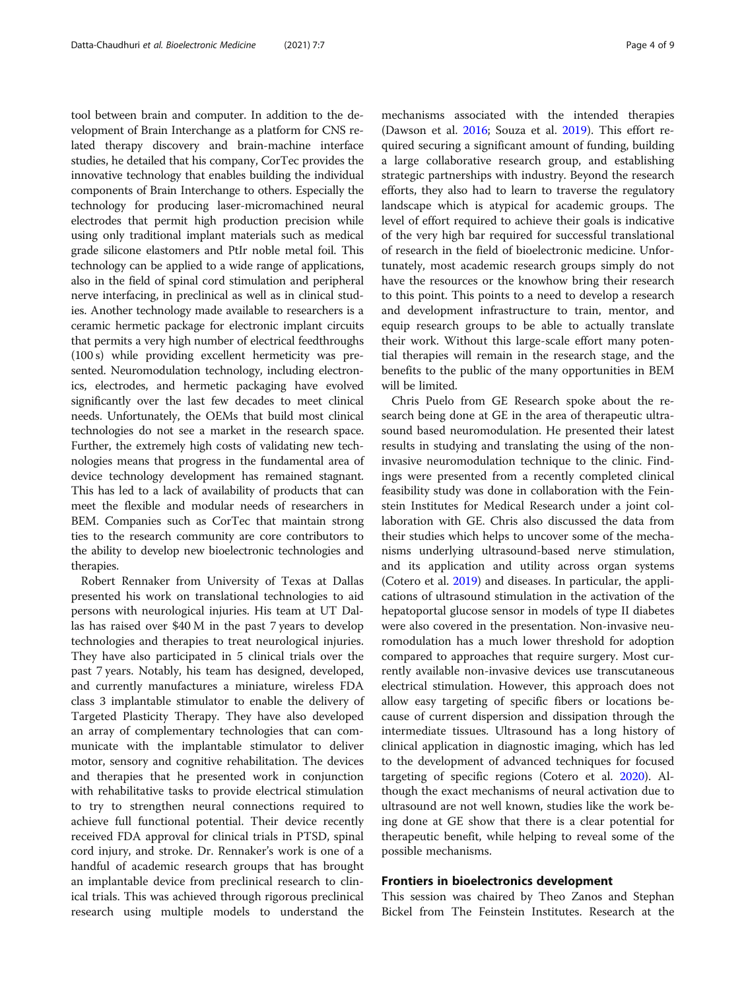tool between brain and computer. In addition to the development of Brain Interchange as a platform for CNS related therapy discovery and brain-machine interface studies, he detailed that his company, CorTec provides the innovative technology that enables building the individual components of Brain Interchange to others. Especially the technology for producing laser-micromachined neural electrodes that permit high production precision while using only traditional implant materials such as medical grade silicone elastomers and PtIr noble metal foil. This technology can be applied to a wide range of applications, also in the field of spinal cord stimulation and peripheral nerve interfacing, in preclinical as well as in clinical studies. Another technology made available to researchers is a ceramic hermetic package for electronic implant circuits that permits a very high number of electrical feedthroughs (100 s) while providing excellent hermeticity was presented. Neuromodulation technology, including electronics, electrodes, and hermetic packaging have evolved significantly over the last few decades to meet clinical needs. Unfortunately, the OEMs that build most clinical technologies do not see a market in the research space. Further, the extremely high costs of validating new technologies means that progress in the fundamental area of device technology development has remained stagnant. This has led to a lack of availability of products that can meet the flexible and modular needs of researchers in BEM. Companies such as CorTec that maintain strong ties to the research community are core contributors to the ability to develop new bioelectronic technologies and therapies.

Robert Rennaker from University of Texas at Dallas presented his work on translational technologies to aid persons with neurological injuries. His team at UT Dallas has raised over \$40 M in the past 7 years to develop technologies and therapies to treat neurological injuries. They have also participated in 5 clinical trials over the past 7 years. Notably, his team has designed, developed, and currently manufactures a miniature, wireless FDA class 3 implantable stimulator to enable the delivery of Targeted Plasticity Therapy. They have also developed an array of complementary technologies that can communicate with the implantable stimulator to deliver motor, sensory and cognitive rehabilitation. The devices and therapies that he presented work in conjunction with rehabilitative tasks to provide electrical stimulation to try to strengthen neural connections required to achieve full functional potential. Their device recently received FDA approval for clinical trials in PTSD, spinal cord injury, and stroke. Dr. Rennaker's work is one of a handful of academic research groups that has brought an implantable device from preclinical research to clinical trials. This was achieved through rigorous preclinical research using multiple models to understand the

mechanisms associated with the intended therapies (Dawson et al. [2016](#page-8-0); Souza et al. [2019\)](#page-8-0). This effort required securing a significant amount of funding, building a large collaborative research group, and establishing strategic partnerships with industry. Beyond the research efforts, they also had to learn to traverse the regulatory landscape which is atypical for academic groups. The level of effort required to achieve their goals is indicative of the very high bar required for successful translational of research in the field of bioelectronic medicine. Unfortunately, most academic research groups simply do not have the resources or the knowhow bring their research to this point. This points to a need to develop a research and development infrastructure to train, mentor, and equip research groups to be able to actually translate their work. Without this large-scale effort many potential therapies will remain in the research stage, and the benefits to the public of the many opportunities in BEM will be limited.

Chris Puelo from GE Research spoke about the research being done at GE in the area of therapeutic ultrasound based neuromodulation. He presented their latest results in studying and translating the using of the noninvasive neuromodulation technique to the clinic. Findings were presented from a recently completed clinical feasibility study was done in collaboration with the Feinstein Institutes for Medical Research under a joint collaboration with GE. Chris also discussed the data from their studies which helps to uncover some of the mechanisms underlying ultrasound-based nerve stimulation, and its application and utility across organ systems (Cotero et al. [2019](#page-8-0)) and diseases. In particular, the applications of ultrasound stimulation in the activation of the hepatoportal glucose sensor in models of type II diabetes were also covered in the presentation. Non-invasive neuromodulation has a much lower threshold for adoption compared to approaches that require surgery. Most currently available non-invasive devices use transcutaneous electrical stimulation. However, this approach does not allow easy targeting of specific fibers or locations because of current dispersion and dissipation through the intermediate tissues. Ultrasound has a long history of clinical application in diagnostic imaging, which has led to the development of advanced techniques for focused targeting of specific regions (Cotero et al. [2020\)](#page-8-0). Although the exact mechanisms of neural activation due to ultrasound are not well known, studies like the work being done at GE show that there is a clear potential for therapeutic benefit, while helping to reveal some of the possible mechanisms.

## Frontiers in bioelectronics development

This session was chaired by Theo Zanos and Stephan Bickel from The Feinstein Institutes. Research at the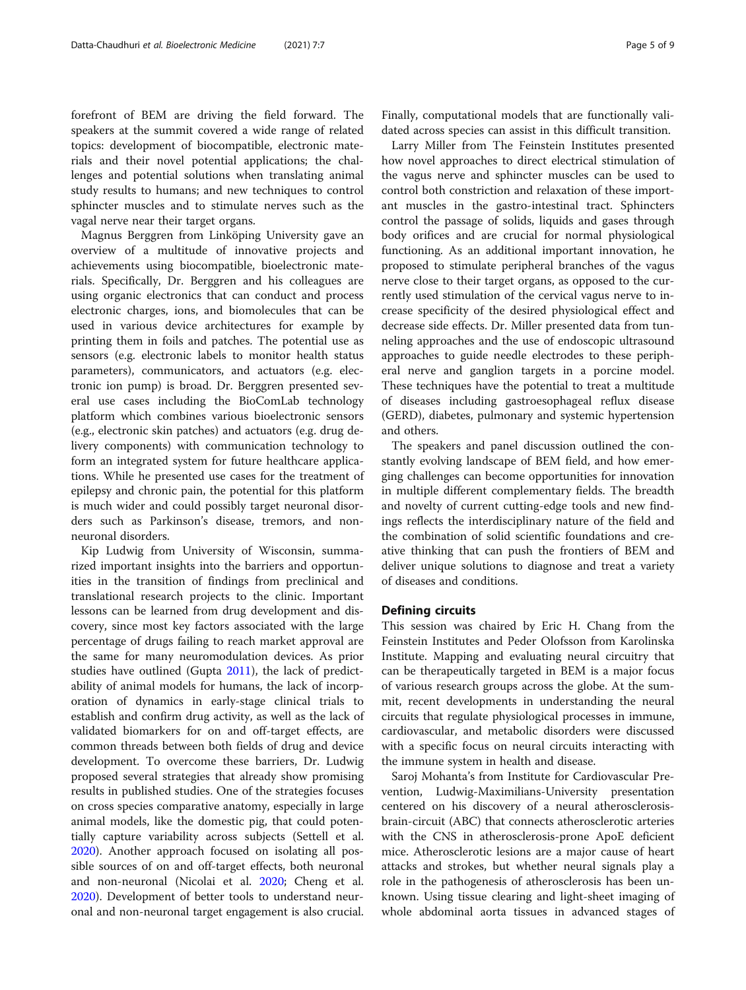forefront of BEM are driving the field forward. The speakers at the summit covered a wide range of related topics: development of biocompatible, electronic materials and their novel potential applications; the challenges and potential solutions when translating animal study results to humans; and new techniques to control sphincter muscles and to stimulate nerves such as the vagal nerve near their target organs.

Magnus Berggren from Linköping University gave an overview of a multitude of innovative projects and achievements using biocompatible, bioelectronic materials. Specifically, Dr. Berggren and his colleagues are using organic electronics that can conduct and process electronic charges, ions, and biomolecules that can be used in various device architectures for example by printing them in foils and patches. The potential use as sensors (e.g. electronic labels to monitor health status parameters), communicators, and actuators (e.g. electronic ion pump) is broad. Dr. Berggren presented several use cases including the BioComLab technology platform which combines various bioelectronic sensors (e.g., electronic skin patches) and actuators (e.g. drug delivery components) with communication technology to form an integrated system for future healthcare applications. While he presented use cases for the treatment of epilepsy and chronic pain, the potential for this platform is much wider and could possibly target neuronal disorders such as Parkinson's disease, tremors, and nonneuronal disorders.

Kip Ludwig from University of Wisconsin, summarized important insights into the barriers and opportunities in the transition of findings from preclinical and translational research projects to the clinic. Important lessons can be learned from drug development and discovery, since most key factors associated with the large percentage of drugs failing to reach market approval are the same for many neuromodulation devices. As prior studies have outlined (Gupta [2011\)](#page-8-0), the lack of predictability of animal models for humans, the lack of incorporation of dynamics in early-stage clinical trials to establish and confirm drug activity, as well as the lack of validated biomarkers for on and off-target effects, are common threads between both fields of drug and device development. To overcome these barriers, Dr. Ludwig proposed several strategies that already show promising results in published studies. One of the strategies focuses on cross species comparative anatomy, especially in large animal models, like the domestic pig, that could potentially capture variability across subjects (Settell et al. [2020](#page-8-0)). Another approach focused on isolating all possible sources of on and off-target effects, both neuronal and non-neuronal (Nicolai et al. [2020;](#page-8-0) Cheng et al. [2020](#page-8-0)). Development of better tools to understand neuronal and non-neuronal target engagement is also crucial.

Finally, computational models that are functionally validated across species can assist in this difficult transition.

Larry Miller from The Feinstein Institutes presented how novel approaches to direct electrical stimulation of the vagus nerve and sphincter muscles can be used to control both constriction and relaxation of these important muscles in the gastro-intestinal tract. Sphincters control the passage of solids, liquids and gases through body orifices and are crucial for normal physiological functioning. As an additional important innovation, he proposed to stimulate peripheral branches of the vagus nerve close to their target organs, as opposed to the currently used stimulation of the cervical vagus nerve to increase specificity of the desired physiological effect and decrease side effects. Dr. Miller presented data from tunneling approaches and the use of endoscopic ultrasound approaches to guide needle electrodes to these peripheral nerve and ganglion targets in a porcine model. These techniques have the potential to treat a multitude of diseases including gastroesophageal reflux disease (GERD), diabetes, pulmonary and systemic hypertension and others.

The speakers and panel discussion outlined the constantly evolving landscape of BEM field, and how emerging challenges can become opportunities for innovation in multiple different complementary fields. The breadth and novelty of current cutting-edge tools and new findings reflects the interdisciplinary nature of the field and the combination of solid scientific foundations and creative thinking that can push the frontiers of BEM and deliver unique solutions to diagnose and treat a variety of diseases and conditions.

#### Defining circuits

This session was chaired by Eric H. Chang from the Feinstein Institutes and Peder Olofsson from Karolinska Institute. Mapping and evaluating neural circuitry that can be therapeutically targeted in BEM is a major focus of various research groups across the globe. At the summit, recent developments in understanding the neural circuits that regulate physiological processes in immune, cardiovascular, and metabolic disorders were discussed with a specific focus on neural circuits interacting with the immune system in health and disease.

Saroj Mohanta's from Institute for Cardiovascular Prevention, Ludwig-Maximilians-University presentation centered on his discovery of a neural atherosclerosisbrain-circuit (ABC) that connects atherosclerotic arteries with the CNS in atherosclerosis-prone ApoE deficient mice. Atherosclerotic lesions are a major cause of heart attacks and strokes, but whether neural signals play a role in the pathogenesis of atherosclerosis has been unknown. Using tissue clearing and light-sheet imaging of whole abdominal aorta tissues in advanced stages of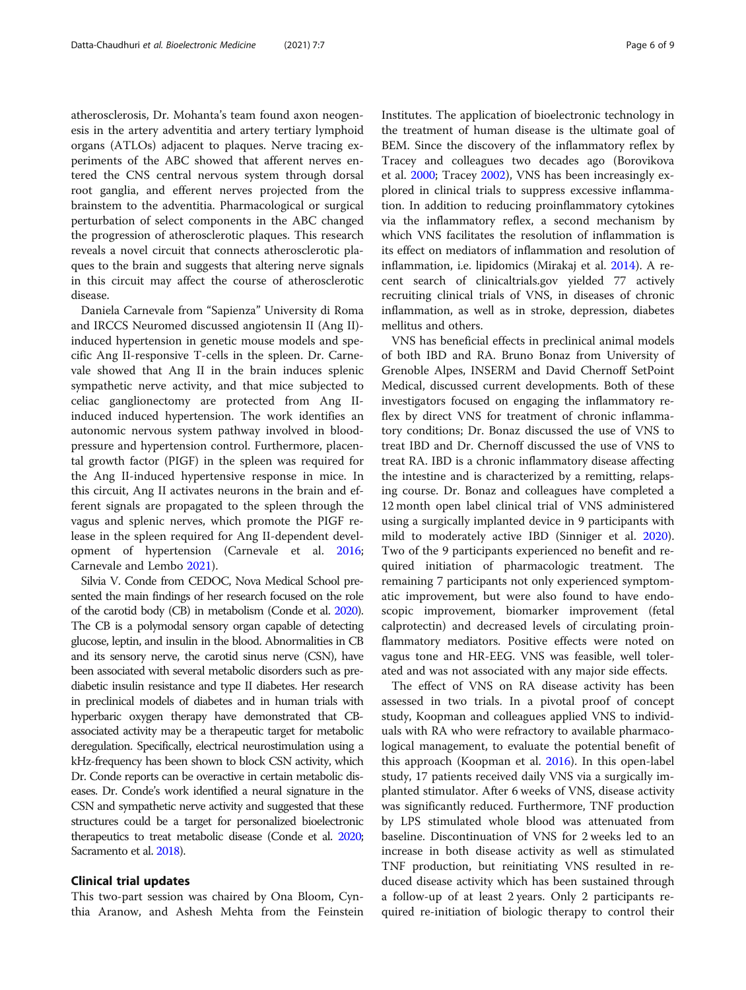atherosclerosis, Dr. Mohanta's team found axon neogenesis in the artery adventitia and artery tertiary lymphoid organs (ATLOs) adjacent to plaques. Nerve tracing experiments of the ABC showed that afferent nerves entered the CNS central nervous system through dorsal root ganglia, and efferent nerves projected from the brainstem to the adventitia. Pharmacological or surgical perturbation of select components in the ABC changed the progression of atherosclerotic plaques. This research reveals a novel circuit that connects atherosclerotic plaques to the brain and suggests that altering nerve signals in this circuit may affect the course of atherosclerotic disease.

Daniela Carnevale from "Sapienza" University di Roma and IRCCS Neuromed discussed angiotensin II (Ang II) induced hypertension in genetic mouse models and specific Ang II-responsive T-cells in the spleen. Dr. Carnevale showed that Ang II in the brain induces splenic sympathetic nerve activity, and that mice subjected to celiac ganglionectomy are protected from Ang IIinduced induced hypertension. The work identifies an autonomic nervous system pathway involved in bloodpressure and hypertension control. Furthermore, placental growth factor (PIGF) in the spleen was required for the Ang II-induced hypertensive response in mice. In this circuit, Ang II activates neurons in the brain and efferent signals are propagated to the spleen through the vagus and splenic nerves, which promote the PIGF release in the spleen required for Ang II-dependent development of hypertension (Carnevale et al. [2016](#page-7-0); Carnevale and Lembo [2021\)](#page-7-0).

Silvia V. Conde from CEDOC, Nova Medical School presented the main findings of her research focused on the role of the carotid body (CB) in metabolism (Conde et al. [2020\)](#page-8-0). The CB is a polymodal sensory organ capable of detecting glucose, leptin, and insulin in the blood. Abnormalities in CB and its sensory nerve, the carotid sinus nerve (CSN), have been associated with several metabolic disorders such as prediabetic insulin resistance and type II diabetes. Her research in preclinical models of diabetes and in human trials with hyperbaric oxygen therapy have demonstrated that CBassociated activity may be a therapeutic target for metabolic deregulation. Specifically, electrical neurostimulation using a kHz-frequency has been shown to block CSN activity, which Dr. Conde reports can be overactive in certain metabolic diseases. Dr. Conde's work identified a neural signature in the CSN and sympathetic nerve activity and suggested that these structures could be a target for personalized bioelectronic therapeutics to treat metabolic disease (Conde et al. [2020](#page-8-0); Sacramento et al. [2018](#page-8-0)).

#### Clinical trial updates

This two-part session was chaired by Ona Bloom, Cynthia Aranow, and Ashesh Mehta from the Feinstein

Institutes. The application of bioelectronic technology in the treatment of human disease is the ultimate goal of BEM. Since the discovery of the inflammatory reflex by Tracey and colleagues two decades ago (Borovikova et al. [2000;](#page-7-0) Tracey [2002\)](#page-8-0), VNS has been increasingly explored in clinical trials to suppress excessive inflammation. In addition to reducing proinflammatory cytokines via the inflammatory reflex, a second mechanism by which VNS facilitates the resolution of inflammation is its effect on mediators of inflammation and resolution of inflammation, i.e. lipidomics (Mirakaj et al. [2014\)](#page-8-0). A recent search of clinicaltrials.gov yielded 77 actively recruiting clinical trials of VNS, in diseases of chronic inflammation, as well as in stroke, depression, diabetes mellitus and others.

VNS has beneficial effects in preclinical animal models of both IBD and RA. Bruno Bonaz from University of Grenoble Alpes, INSERM and David Chernoff SetPoint Medical, discussed current developments. Both of these investigators focused on engaging the inflammatory reflex by direct VNS for treatment of chronic inflammatory conditions; Dr. Bonaz discussed the use of VNS to treat IBD and Dr. Chernoff discussed the use of VNS to treat RA. IBD is a chronic inflammatory disease affecting the intestine and is characterized by a remitting, relapsing course. Dr. Bonaz and colleagues have completed a 12 month open label clinical trial of VNS administered using a surgically implanted device in 9 participants with mild to moderately active IBD (Sinniger et al. [2020](#page-8-0)). Two of the 9 participants experienced no benefit and required initiation of pharmacologic treatment. The remaining 7 participants not only experienced symptomatic improvement, but were also found to have endoscopic improvement, biomarker improvement (fetal calprotectin) and decreased levels of circulating proinflammatory mediators. Positive effects were noted on vagus tone and HR-EEG. VNS was feasible, well tolerated and was not associated with any major side effects.

The effect of VNS on RA disease activity has been assessed in two trials. In a pivotal proof of concept study, Koopman and colleagues applied VNS to individuals with RA who were refractory to available pharmacological management, to evaluate the potential benefit of this approach (Koopman et al. [2016\)](#page-8-0). In this open-label study, 17 patients received daily VNS via a surgically implanted stimulator. After 6 weeks of VNS, disease activity was significantly reduced. Furthermore, TNF production by LPS stimulated whole blood was attenuated from baseline. Discontinuation of VNS for 2 weeks led to an increase in both disease activity as well as stimulated TNF production, but reinitiating VNS resulted in reduced disease activity which has been sustained through a follow-up of at least 2 years. Only 2 participants required re-initiation of biologic therapy to control their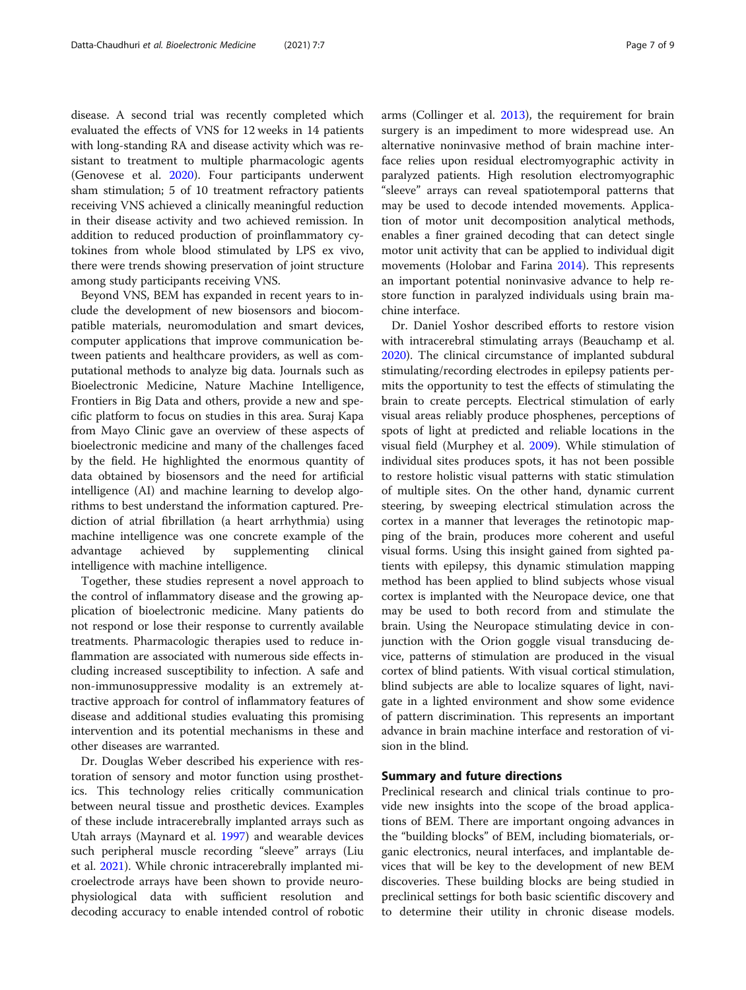disease. A second trial was recently completed which evaluated the effects of VNS for 12 weeks in 14 patients with long-standing RA and disease activity which was resistant to treatment to multiple pharmacologic agents (Genovese et al. [2020\)](#page-8-0). Four participants underwent sham stimulation; 5 of 10 treatment refractory patients receiving VNS achieved a clinically meaningful reduction in their disease activity and two achieved remission. In addition to reduced production of proinflammatory cytokines from whole blood stimulated by LPS ex vivo, there were trends showing preservation of joint structure among study participants receiving VNS.

Beyond VNS, BEM has expanded in recent years to include the development of new biosensors and biocompatible materials, neuromodulation and smart devices, computer applications that improve communication between patients and healthcare providers, as well as computational methods to analyze big data. Journals such as Bioelectronic Medicine, Nature Machine Intelligence, Frontiers in Big Data and others, provide a new and specific platform to focus on studies in this area. Suraj Kapa from Mayo Clinic gave an overview of these aspects of bioelectronic medicine and many of the challenges faced by the field. He highlighted the enormous quantity of data obtained by biosensors and the need for artificial intelligence (AI) and machine learning to develop algorithms to best understand the information captured. Prediction of atrial fibrillation (a heart arrhythmia) using machine intelligence was one concrete example of the advantage achieved by supplementing clinical intelligence with machine intelligence.

Together, these studies represent a novel approach to the control of inflammatory disease and the growing application of bioelectronic medicine. Many patients do not respond or lose their response to currently available treatments. Pharmacologic therapies used to reduce inflammation are associated with numerous side effects including increased susceptibility to infection. A safe and non-immunosuppressive modality is an extremely attractive approach for control of inflammatory features of disease and additional studies evaluating this promising intervention and its potential mechanisms in these and other diseases are warranted.

Dr. Douglas Weber described his experience with restoration of sensory and motor function using prosthetics. This technology relies critically communication between neural tissue and prosthetic devices. Examples of these include intracerebrally implanted arrays such as Utah arrays (Maynard et al. [1997\)](#page-8-0) and wearable devices such peripheral muscle recording "sleeve" arrays (Liu et al. [2021](#page-8-0)). While chronic intracerebrally implanted microelectrode arrays have been shown to provide neurophysiological data with sufficient resolution and decoding accuracy to enable intended control of robotic surgery is an impediment to more widespread use. An alternative noninvasive method of brain machine interface relies upon residual electromyographic activity in paralyzed patients. High resolution electromyographic "sleeve" arrays can reveal spatiotemporal patterns that may be used to decode intended movements. Application of motor unit decomposition analytical methods, enables a finer grained decoding that can detect single motor unit activity that can be applied to individual digit movements (Holobar and Farina [2014\)](#page-8-0). This represents an important potential noninvasive advance to help restore function in paralyzed individuals using brain machine interface.

Dr. Daniel Yoshor described efforts to restore vision with intracerebral stimulating arrays (Beauchamp et al. [2020](#page-7-0)). The clinical circumstance of implanted subdural stimulating/recording electrodes in epilepsy patients permits the opportunity to test the effects of stimulating the brain to create percepts. Electrical stimulation of early visual areas reliably produce phosphenes, perceptions of spots of light at predicted and reliable locations in the visual field (Murphey et al. [2009](#page-8-0)). While stimulation of individual sites produces spots, it has not been possible to restore holistic visual patterns with static stimulation of multiple sites. On the other hand, dynamic current steering, by sweeping electrical stimulation across the cortex in a manner that leverages the retinotopic mapping of the brain, produces more coherent and useful visual forms. Using this insight gained from sighted patients with epilepsy, this dynamic stimulation mapping method has been applied to blind subjects whose visual cortex is implanted with the Neuropace device, one that may be used to both record from and stimulate the brain. Using the Neuropace stimulating device in conjunction with the Orion goggle visual transducing device, patterns of stimulation are produced in the visual cortex of blind patients. With visual cortical stimulation, blind subjects are able to localize squares of light, navigate in a lighted environment and show some evidence of pattern discrimination. This represents an important advance in brain machine interface and restoration of vision in the blind.

# Summary and future directions

Preclinical research and clinical trials continue to provide new insights into the scope of the broad applications of BEM. There are important ongoing advances in the "building blocks" of BEM, including biomaterials, organic electronics, neural interfaces, and implantable devices that will be key to the development of new BEM discoveries. These building blocks are being studied in preclinical settings for both basic scientific discovery and to determine their utility in chronic disease models.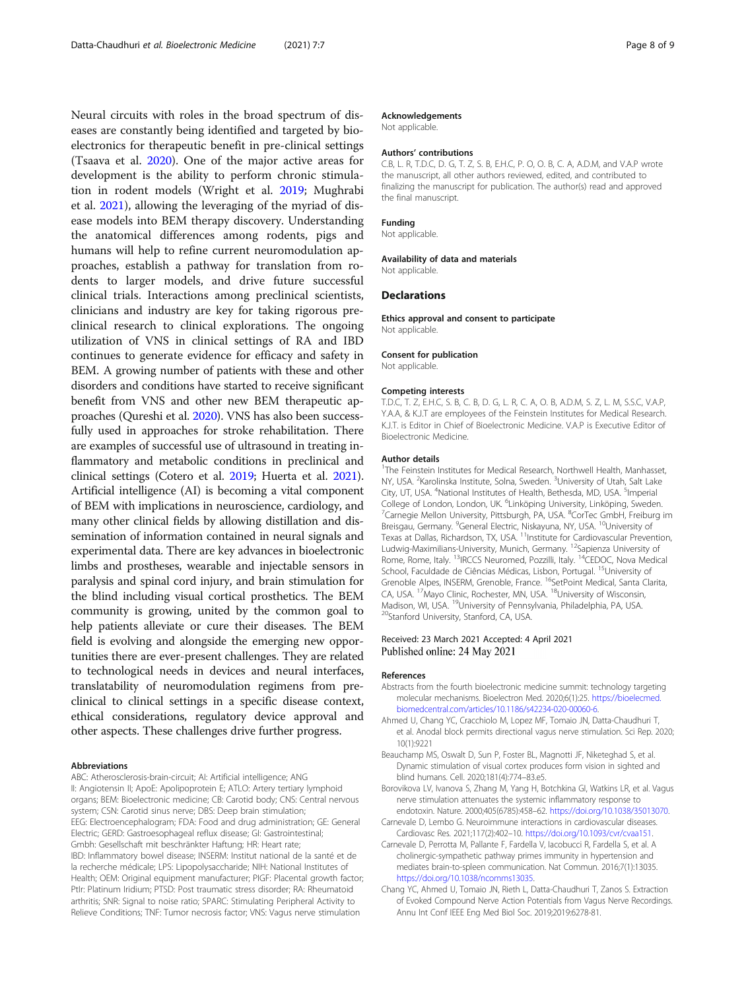<span id="page-7-0"></span>Neural circuits with roles in the broad spectrum of diseases are constantly being identified and targeted by bioelectronics for therapeutic benefit in pre-clinical settings (Tsaava et al. [2020](#page-8-0)). One of the major active areas for development is the ability to perform chronic stimulation in rodent models (Wright et al. [2019;](#page-8-0) Mughrabi et al. [2021](#page-8-0)), allowing the leveraging of the myriad of disease models into BEM therapy discovery. Understanding the anatomical differences among rodents, pigs and humans will help to refine current neuromodulation approaches, establish a pathway for translation from rodents to larger models, and drive future successful clinical trials. Interactions among preclinical scientists, clinicians and industry are key for taking rigorous preclinical research to clinical explorations. The ongoing utilization of VNS in clinical settings of RA and IBD continues to generate evidence for efficacy and safety in BEM. A growing number of patients with these and other disorders and conditions have started to receive significant benefit from VNS and other new BEM therapeutic approaches (Qureshi et al. [2020](#page-8-0)). VNS has also been successfully used in approaches for stroke rehabilitation. There are examples of successful use of ultrasound in treating inflammatory and metabolic conditions in preclinical and clinical settings (Cotero et al. [2019;](#page-8-0) Huerta et al. [2021](#page-8-0)). Artificial intelligence (AI) is becoming a vital component of BEM with implications in neuroscience, cardiology, and many other clinical fields by allowing distillation and dissemination of information contained in neural signals and experimental data. There are key advances in bioelectronic limbs and prostheses, wearable and injectable sensors in paralysis and spinal cord injury, and brain stimulation for the blind including visual cortical prosthetics. The BEM community is growing, united by the common goal to help patients alleviate or cure their diseases. The BEM field is evolving and alongside the emerging new opportunities there are ever-present challenges. They are related to technological needs in devices and neural interfaces, translatability of neuromodulation regimens from preclinical to clinical settings in a specific disease context, ethical considerations, regulatory device approval and other aspects. These challenges drive further progress.

#### Abbreviations

ABC: Atherosclerosis-brain-circuit; AI: Artificial intelligence; ANG II: Angiotensin II; ApoE: Apolipoprotein E; ATLO: Artery tertiary lymphoid organs; BEM: Bioelectronic medicine; CB: Carotid body; CNS: Central nervous system; CSN: Carotid sinus nerve; DBS: Deep brain stimulation; EEG: Electroencephalogram; FDA: Food and drug administration; GE: General Electric; GERD: Gastroesophageal reflux disease; GI: Gastrointestinal; Gmbh: Gesellschaft mit beschränkter Haftung; HR: Heart rate; IBD: Inflammatory bowel disease; INSERM: Institut national de la santé et de la recherche médicale; LPS: Lipopolysaccharide; NIH: National Institutes of Health; OEM: Original equipment manufacturer; PIGF: Placental growth factor; PtIr: Platinum Iridium; PTSD: Post traumatic stress disorder; RA: Rheumatoid arthritis; SNR: Signal to noise ratio; SPARC: Stimulating Peripheral Activity to Relieve Conditions; TNF: Tumor necrosis factor; VNS: Vagus nerve stimulation

#### Acknowledgements

Not applicable.

#### Authors' contributions

C.B, L. R, T.D.C, D. G, T. Z, S. B, E.H.C, P. O, O. B, C. A, A.D.M, and V.A.P wrote the manuscript, all other authors reviewed, edited, and contributed to finalizing the manuscript for publication. The author(s) read and approved the final manuscript.

#### Funding

Not applicable.

#### Availability of data and materials

Not applicable.

#### Declarations

Ethics approval and consent to participate Not applicable.

#### Consent for publication

Not applicable.

#### Competing interests

T.D.C, T. Z, E.H.C, S. B, C. B, D. G, L. R, C. A, O. B, A.D.M, S. Z, L. M, S.S.C, V.A.P, Y.A.A, & K.J.T are employees of the Feinstein Institutes for Medical Research. K.J.T. is Editor in Chief of Bioelectronic Medicine. V.A.P is Executive Editor of Bioelectronic Medicine.

#### Author details

<sup>1</sup>The Feinstein Institutes for Medical Research, Northwell Health, Manhasset, NY, USA. <sup>2</sup>Karolinska Institute, Solna, Sweden. <sup>3</sup>University of Utah, Salt Lake City, UT, USA. <sup>4</sup>National Institutes of Health, Bethesda, MD, USA. <sup>5</sup>Imperial College of London, London, UK. <sup>6</sup>Linköping University, Linköping, Sweden.<br><sup>7</sup>Carpogia Mallon University, Pittsburgh, PA, USA. <sup>8</sup>CarTas GmbH, Ersiburg Carnegie Mellon University, Pittsburgh, PA, USA. <sup>8</sup>CorTec GmbH, Freiburg im Breisgau, Germany. <sup>9</sup>General Electric, Niskayuna, NY, USA. <sup>10</sup>University of Texas at Dallas, Richardson, TX, USA. 11Institute for Cardiovascular Prevention, Ludwig-Maximilians-University, Munich, Germany. <sup>12</sup>Sapienza University of Rome, Rome, Italy. <sup>13</sup>IRCCS Neuromed, Pozzilli, Italy. <sup>14</sup>CEDOC, Nova Medical School, Faculdade de Ciências Médicas, Lisbon, Portugal. <sup>15</sup>University of Grenoble Alpes, INSERM, Grenoble, France. <sup>16</sup>SetPoint Medical, Santa Clarita, CA, USA. 17Mayo Clinic, Rochester, MN, USA. 18University of Wisconsin, Madison, WI, USA. <sup>19</sup>University of Pennsylvania, Philadelphia, PA, USA.<br><sup>20</sup>Stanford University, Stanford, CA, USA.

### Received: 23 March 2021 Accepted: 4 April 2021 Published online: 24 May 2021

#### References

- Abstracts from the fourth bioelectronic medicine summit: technology targeting molecular mechanisms. Bioelectron Med. 2020;6(1):25. [https://bioelecmed.](https://bioelecmed.biomedcentral.com/articles/10.1186/s42234-020-00060-6) [biomedcentral.com/articles/10.1186/s42234-020-00060-6](https://bioelecmed.biomedcentral.com/articles/10.1186/s42234-020-00060-6).
- Ahmed U, Chang YC, Cracchiolo M, Lopez MF, Tomaio JN, Datta-Chaudhuri T, et al. Anodal block permits directional vagus nerve stimulation. Sci Rep. 2020; 10(1):9221
- Beauchamp MS, Oswalt D, Sun P, Foster BL, Magnotti JF, Niketeghad S, et al. Dynamic stimulation of visual cortex produces form vision in sighted and blind humans. Cell. 2020;181(4):774–83.e5.
- Borovikova LV, Ivanova S, Zhang M, Yang H, Botchkina GI, Watkins LR, et al. Vagus nerve stimulation attenuates the systemic inflammatory response to endotoxin. Nature. 2000;405(6785):458–62. [https://doi.org/10.1038/35013070.](https://doi.org/10.1038/35013070)
- Carnevale D, Lembo G. Neuroimmune interactions in cardiovascular diseases. Cardiovasc Res. 2021;117(2):402–10. [https://doi.org/10.1093/cvr/cvaa151.](https://doi.org/10.1093/cvr/cvaa151)
- Carnevale D, Perrotta M, Pallante F, Fardella V, Iacobucci R, Fardella S, et al. A cholinergic-sympathetic pathway primes immunity in hypertension and mediates brain-to-spleen communication. Nat Commun. 2016;7(1):13035. [https://doi.org/10.1038/ncomms13035.](https://doi.org/10.1038/ncomms13035)
- Chang YC, Ahmed U, Tomaio JN, Rieth L, Datta-Chaudhuri T, Zanos S. Extraction of Evoked Compound Nerve Action Potentials from Vagus Nerve Recordings. Annu Int Conf IEEE Eng Med Biol Soc. 2019;2019:6278-81.